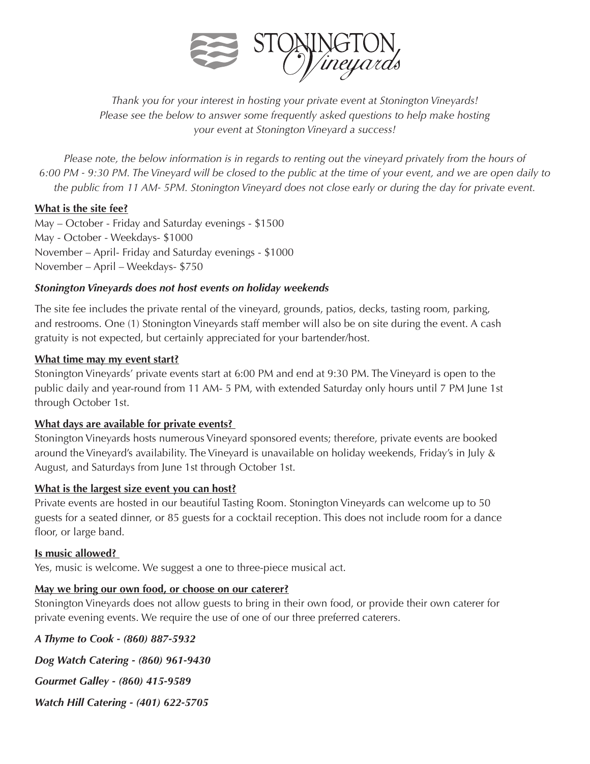

*Thank you for your interest in hosting your private event at Stonington Vineyards! Please see the below to answer some frequently asked questions to help make hosting your event at Stonington Vineyard a success!* 

*Please note, the below information is in regards to renting out the vineyard privately from the hours of 6:00 PM - 9:30 PM. The Vineyard will be closed to the public at the time of your event, and we are open daily to the public from 11 AM- 5PM. Stonington Vineyard does not close early or during the day for private event.* 

### **What is the site fee?**

May – October - Friday and Saturday evenings - \$1500 May - October - Weekdays- \$1000 November – April- Friday and Saturday evenings - \$1000 November – April – Weekdays- \$750

### *Stonington Vineyards does not host events on holiday weekends*

The site fee includes the private rental of the vineyard, grounds, patios, decks, tasting room, parking, and restrooms. One (1) Stonington Vineyards staff member will also be on site during the event. A cash gratuity is not expected, but certainly appreciated for your bartender/host.

#### **What time may my event start?**

Stonington Vineyards' private events start at 6:00 PM and end at 9:30 PM. The Vineyard is open to the public daily and year-round from 11 AM- 5 PM, with extended Saturday only hours until 7 PM June 1st through October 1st.

## **What days are available for private events?**

Stonington Vineyards hosts numerous Vineyard sponsored events; therefore, private events are booked around the Vineyard's availability. The Vineyard is unavailable on holiday weekends, Friday's in July & August, and Saturdays from June 1st through October 1st.

#### **What is the largest size event you can host?**

Private events are hosted in our beautiful Tasting Room. Stonington Vineyards can welcome up to 50 guests for a seated dinner, or 85 guests for a cocktail reception. This does not include room for a dance floor, or large band.

#### **Is music allowed?**

Yes, music is welcome. We suggest a one to three-piece musical act.

## **May we bring our own food, or choose on our caterer?**

Stonington Vineyards does not allow guests to bring in their own food, or provide their own caterer for private evening events. We require the use of one of our three preferred caterers.

*A Thyme to Cook - (860) 887-5932 Dog Watch Catering - (860) 961-9430 Gourmet Galley - (860) 415-9589 Watch Hill Catering - (401) 622-5705*